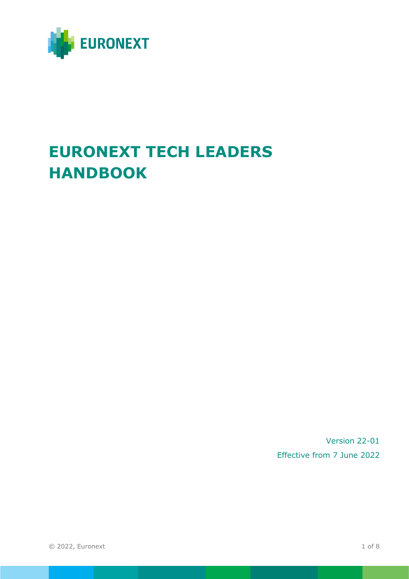

# **EURONEXT TECH LEADERS HANDBOOK**

Version 22-01 Effective from 7 June 2022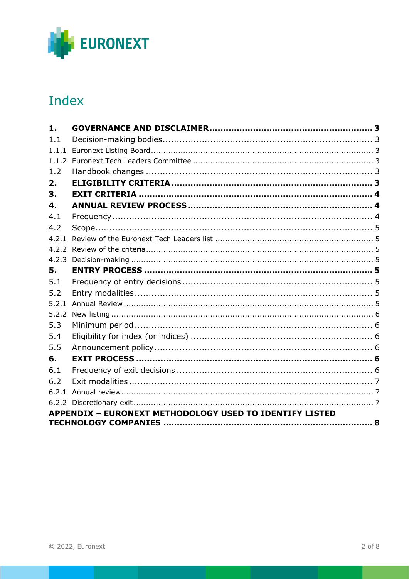

## Index

| 1.    |                                                                |  |
|-------|----------------------------------------------------------------|--|
| 1.1   |                                                                |  |
| 1.1.1 |                                                                |  |
|       |                                                                |  |
| 1.2   |                                                                |  |
| 2.    |                                                                |  |
| 3.    |                                                                |  |
| 4.    |                                                                |  |
| 4.1   |                                                                |  |
| 4.2   |                                                                |  |
|       |                                                                |  |
|       |                                                                |  |
|       |                                                                |  |
| 5.    |                                                                |  |
| 5.1   |                                                                |  |
| 5.2   |                                                                |  |
|       |                                                                |  |
|       |                                                                |  |
| 5.3   |                                                                |  |
| 5.4   |                                                                |  |
| 5.5   |                                                                |  |
| 6.    |                                                                |  |
| 6.1   |                                                                |  |
| 6.2   |                                                                |  |
|       |                                                                |  |
|       |                                                                |  |
|       | <b>APPENDIX - EURONEXT METHODOLOGY USED TO IDENTIFY LISTED</b> |  |
|       |                                                                |  |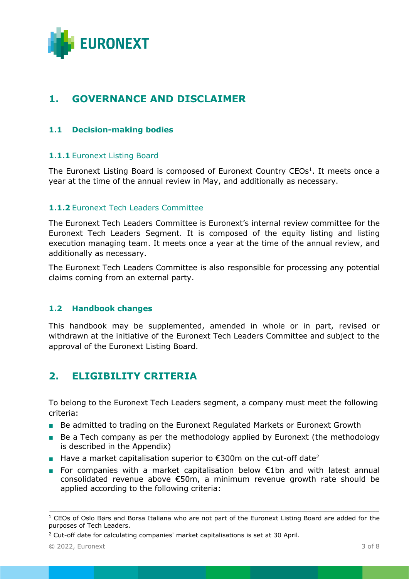

## <span id="page-2-0"></span>**1. GOVERNANCE AND DISCLAIMER**

## <span id="page-2-1"></span>**1.1 Decision-making bodies**

## <span id="page-2-2"></span>**1.1.1** Euronext Listing Board

The Euronext Listing Board is composed of Euronext Country CEOs<sup>1</sup>. It meets once a year at the time of the annual review in May, and additionally as necessary.

## <span id="page-2-3"></span>**1.1.2** Euronext Tech Leaders Committee

The Euronext Tech Leaders Committee is Euronext's internal review committee for the Euronext Tech Leaders Segment. It is composed of the equity listing and listing execution managing team. It meets once a year at the time of the annual review, and additionally as necessary.

The Euronext Tech Leaders Committee is also responsible for processing any potential claims coming from an external party.

## <span id="page-2-4"></span>**1.2 Handbook changes**

This handbook may be supplemented, amended in whole or in part, revised or withdrawn at the initiative of the Euronext Tech Leaders Committee and subject to the approval of the Euronext Listing Board.

## <span id="page-2-5"></span>**2. ELIGIBILITY CRITERIA**

To belong to the Euronext Tech Leaders segment, a company must meet the following criteria:

- Be admitted to trading on the Euronext Regulated Markets or Euronext Growth
- Be a Tech company as per the methodology applied by Euronext (the methodology is described in the Appendix)
- Have a market capitalisation superior to  $€300m$  on the cut-off date<sup>2</sup>
- For companies with a market capitalisation below €1bn and with latest annual consolidated revenue above €50m, a minimum revenue growth rate should be applied according to the following criteria:

 $\_$  ,  $\_$  ,  $\_$  ,  $\_$  ,  $\_$  ,  $\_$  ,  $\_$  ,  $\_$  ,  $\_$  ,  $\_$  ,  $\_$  ,  $\_$  ,  $\_$  ,  $\_$  ,  $\_$  ,  $\_$  ,  $\_$  ,  $\_$  ,  $\_$  ,  $\_$  ,  $\_$  ,  $\_$  ,  $\_$  ,  $\_$  ,  $\_$  ,  $\_$  ,  $\_$  ,  $\_$  ,  $\_$  ,  $\_$  ,  $\_$  ,  $\_$  ,  $\_$  ,  $\_$  ,  $\_$  ,  $\_$  ,  $\_$  ,  $1$  CEOs of Oslo Børs and Borsa Italiana who are not part of the Euronext Listing Board are added for the purposes of Tech Leaders.

<sup>2</sup> Cut-off date for calculating companies' market capitalisations is set at 30 April.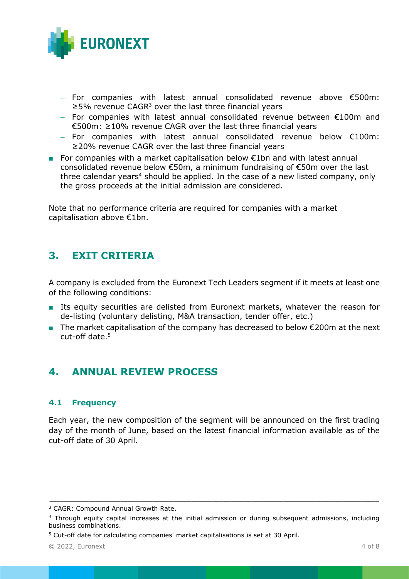

- For companies with latest annual consolidated revenue above €500m:  $≥5%$  revenue CAGR<sup>3</sup> over the last three financial years
- For companies with latest annual consolidated revenue between €100m and €500m: ≥10% revenue CAGR over the last three financial years
- For companies with latest annual consolidated revenue below €100m: ≥20% revenue CAGR over the last three financial years
- For companies with a market capitalisation below €1bn and with latest annual consolidated revenue below €50m, a minimum fundraising of €50m over the last three calendar years<sup>4</sup> should be applied. In the case of a new listed company, only the gross proceeds at the initial admission are considered.

Note that no performance criteria are required for companies with a market capitalisation above €1bn.

## <span id="page-3-0"></span>**3. EXIT CRITERIA**

A company is excluded from the Euronext Tech Leaders segment if it meets at least one of the following conditions:

- Its equity securities are delisted from Euronext markets, whatever the reason for de-listing (voluntary delisting, M&A transaction, tender offer, etc.)
- **The market capitalisation of the company has decreased to below**  $\epsilon$ **200m at the next** cut-off date. 5

## <span id="page-3-1"></span>**4. ANNUAL REVIEW PROCESS**

## <span id="page-3-2"></span>**4.1 Frequency**

Each year, the new composition of the segment will be announced on the first trading day of the month of June, based on the latest financial information available as of the cut-off date of 30 April.

<sup>&</sup>lt;sup>3</sup> CAGR: Compound Annual Growth Rate.

<sup>4</sup> Through equity capital increases at the initial admission or during subsequent admissions, including business combinations.

<sup>5</sup> Cut-off date for calculating companies' market capitalisations is set at 30 April.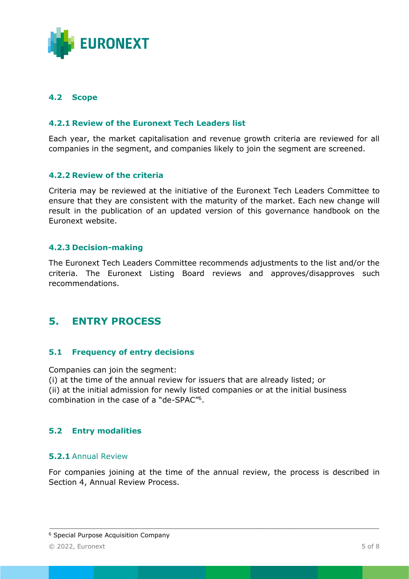

## <span id="page-4-0"></span>**4.2 Scope**

## <span id="page-4-1"></span>**4.2.1 Review of the Euronext Tech Leaders list**

Each year, the market capitalisation and revenue growth criteria are reviewed for all companies in the segment, and companies likely to join the segment are screened.

### <span id="page-4-2"></span>**4.2.2 Review of the criteria**

Criteria may be reviewed at the initiative of the Euronext Tech Leaders Committee to ensure that they are consistent with the maturity of the market. Each new change will result in the publication of an updated version of this governance handbook on the Euronext website.

### <span id="page-4-3"></span>**4.2.3 Decision-making**

The Euronext Tech Leaders Committee recommends adjustments to the list and/or the criteria. The Euronext Listing Board reviews and approves/disapproves such recommendations.

## <span id="page-4-4"></span>**5. ENTRY PROCESS**

## <span id="page-4-5"></span>**5.1 Frequency of entry decisions**

Companies can join the segment:

(i) at the time of the annual review for issuers that are already listed; or (ii) at the initial admission for newly listed companies or at the initial business combination in the case of a "de-SPAC"<sup>6</sup> .

## <span id="page-4-6"></span>**5.2 Entry modalities**

#### <span id="page-4-7"></span>**5.2.1** Annual Review

For companies joining at the time of the annual review, the process is described in Section 4, Annual Review Process.

 $\_$  ,  $\_$  ,  $\_$  ,  $\_$  ,  $\_$  ,  $\_$  ,  $\_$  ,  $\_$  ,  $\_$  ,  $\_$  ,  $\_$  ,  $\_$  ,  $\_$  ,  $\_$  ,  $\_$  ,  $\_$  ,  $\_$  ,  $\_$  ,  $\_$  ,  $\_$  ,  $\_$  ,  $\_$  ,  $\_$  ,  $\_$  ,  $\_$  ,  $\_$  ,  $\_$  ,  $\_$  ,  $\_$  ,  $\_$  ,  $\_$  ,  $\_$  ,  $\_$  ,  $\_$  ,  $\_$  ,  $\_$  ,  $\_$  ,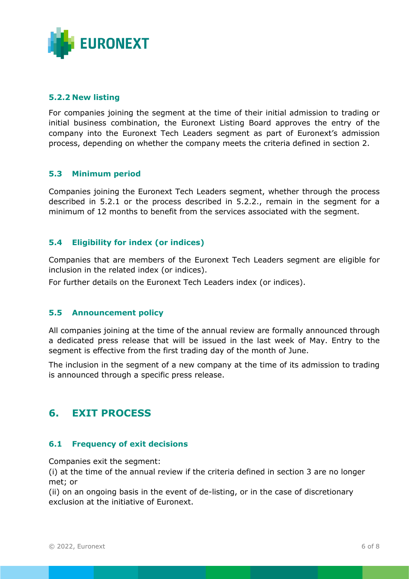

## <span id="page-5-0"></span>**5.2.2 New listing**

For companies joining the segment at the time of their initial admission to trading or initial business combination, the Euronext Listing Board approves the entry of the company into the Euronext Tech Leaders segment as part of Euronext's admission process, depending on whether the company meets the criteria defined in section 2.

### <span id="page-5-1"></span>**5.3 Minimum period**

Companies joining the Euronext Tech Leaders segment, whether through the process described in 5.2.1 or the process described in 5.2.2., remain in the segment for a minimum of 12 months to benefit from the services associated with the segment.

### <span id="page-5-2"></span>**5.4 Eligibility for index (or indices)**

Companies that are members of the Euronext Tech Leaders segment are eligible for inclusion in the related index (or indices).

<span id="page-5-3"></span>For further details on the Euronext Tech Leaders index (or indices).

#### **5.5 Announcement policy**

All companies joining at the time of the annual review are formally announced through a dedicated press release that will be issued in the last week of May. Entry to the segment is effective from the first trading day of the month of June.

The inclusion in the segment of a new company at the time of its admission to trading is announced through a specific press release.

## <span id="page-5-4"></span>**6. EXIT PROCESS**

#### <span id="page-5-5"></span>**6.1 Frequency of exit decisions**

Companies exit the segment:

(i) at the time of the annual review if the criteria defined in section 3 are no longer met; or

(ii) on an ongoing basis in the event of de-listing, or in the case of discretionary exclusion at the initiative of Euronext.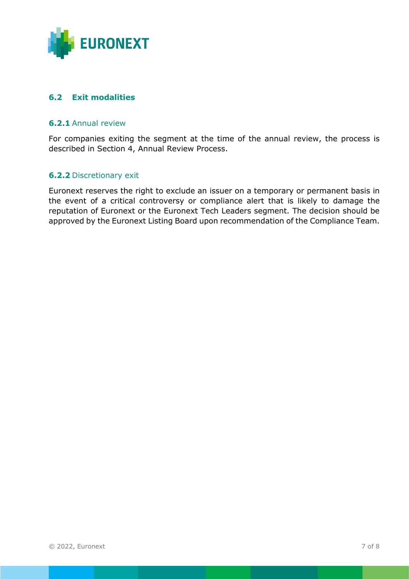

## <span id="page-6-0"></span>**6.2 Exit modalities**

## <span id="page-6-1"></span>**6.2.1** Annual review

For companies exiting the segment at the time of the annual review, the process is described in Section 4, Annual Review Process.

### <span id="page-6-2"></span>**6.2.2** Discretionary exit

Euronext reserves the right to exclude an issuer on a temporary or permanent basis in the event of a critical controversy or compliance alert that is likely to damage the reputation of Euronext or the Euronext Tech Leaders segment. The decision should be approved by the Euronext Listing Board upon recommendation of the Compliance Team.